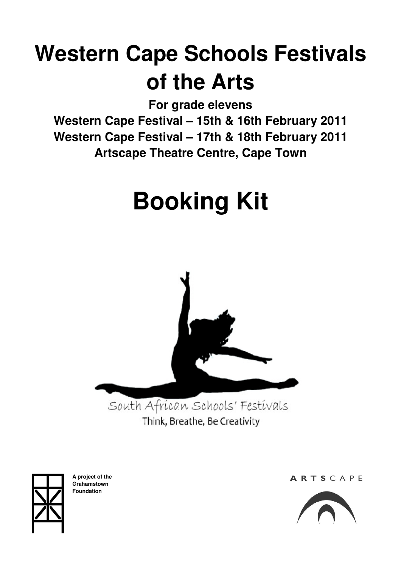# **Western Cape Schools Festivals of the Arts**

**For grade elevens** 

**Western Cape Festival – 15th & 16th February 2011 Western Cape Festival – 17th & 18th February 2011 Artscape Theatre Centre, Cape Town** 

# **Booking Kit**



Think, Breathe, Be Creativity



**A project of the Grahamstown Foundation** 

ARTSCAPE

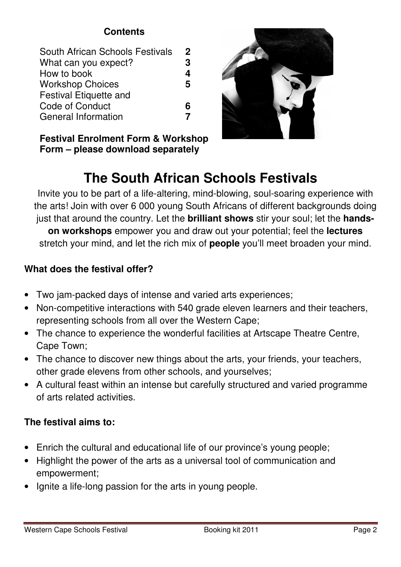# **Contents**

| South African Schools Festivals | $\mathbf 2$ |
|---------------------------------|-------------|
| What can you expect?            | 3           |
| How to book                     | 4           |
| <b>Workshop Choices</b>         | 5           |
| Festival Etiquette and          |             |
| Code of Conduct                 | 6           |
| <b>General Information</b>      |             |
|                                 |             |

**Festival Enrolment Form & Workshop Form – please download separately** 

# **The South African Schools Festivals**

Invite you to be part of a life-altering, mind-blowing, soul-soaring experience with the arts! Join with over 6 000 young South Africans of different backgrounds doing just that around the country. Let the **brilliant shows** stir your soul; let the **handson workshops** empower you and draw out your potential; feel the **lectures** stretch your mind, and let the rich mix of **people** you'll meet broaden your mind.

# **What does the festival offer?**

- Two jam-packed days of intense and varied arts experiences;
- Non-competitive interactions with 540 grade eleven learners and their teachers, representing schools from all over the Western Cape;
- The chance to experience the wonderful facilities at Artscape Theatre Centre, Cape Town;
- The chance to discover new things about the arts, your friends, your teachers, other grade elevens from other schools, and yourselves;
- A cultural feast within an intense but carefully structured and varied programme of arts related activities.

# **The festival aims to:**

- Enrich the cultural and educational life of our province's young people;
- Highlight the power of the arts as a universal tool of communication and empowerment;
- Ignite a life-long passion for the arts in young people.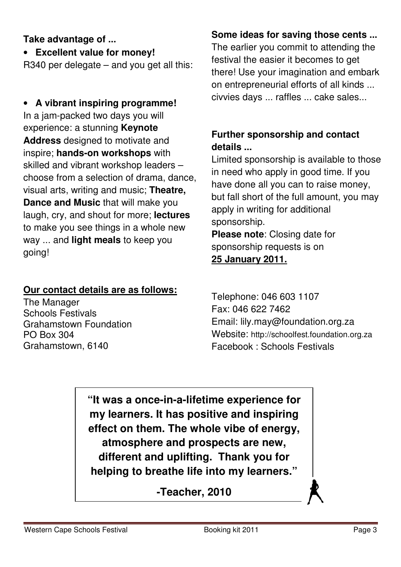# **Take advantage of ...**

• **Excellent value for money!** 

R340 per delegate – and you get all this:

# • **A vibrant inspiring programme!** In a jam-packed two days you will experience: a stunning **Keynote Address** designed to motivate and inspire; **hands-on workshops** with skilled and vibrant workshop leaders – choose from a selection of drama, dance, visual arts, writing and music; **Theatre, Dance and Music** that will make you laugh, cry, and shout for more; **lectures** to make you see things in a whole new way ... and **light meals** to keep you going!

# **Our contact details are as follows:**

The Manager Schools Festivals Grahamstown Foundation PO Box 304 Grahamstown, 6140

# **Some ideas for saving those cents ...**

The earlier you commit to attending the festival the easier it becomes to get there! Use your imagination and embark on entrepreneurial efforts of all kinds ... civvies days ... raffles ... cake sales...

# **Further sponsorship and contact details ...**

Limited sponsorship is available to those in need who apply in good time. If you have done all you can to raise money, but fall short of the full amount, you may apply in writing for additional sponsorship. **Please note**: Closing date for

sponsorship requests is on

# **25 January 2011.**

Telephone: 046 603 1107 Fax: 046 622 7462 Email: lily.may@foundation.org.za Website: http://schoolfest.foundation.org.za Facebook : Schools Festivals

**"It was a once-in-a-lifetime experience for my learners. It has positive and inspiring effect on them. The whole vibe of energy, atmosphere and prospects are new, different and uplifting. Thank you for helping to breathe life into my learners."** 

**-Teacher, 2010**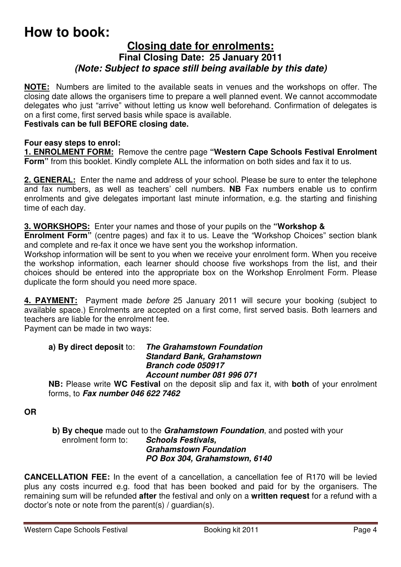# **How to book:**

#### **Closing date for enrolments: Final Closing Date: 25 January 2011**  *(Note: Subject to space still being available by this date)*

**NOTE:** Numbers are limited to the available seats in venues and the workshops on offer. The closing date allows the organisers time to prepare a well planned event. We cannot accommodate delegates who just "arrive" without letting us know well beforehand. Confirmation of delegates is on a first come, first served basis while space is available.

#### **Festivals can be full BEFORE closing date.**

#### **Four easy steps to enrol:**

**1. ENROLMENT FORM:** Remove the centre page **"Western Cape Schools Festival Enrolment Form"** from this booklet. Kindly complete ALL the information on both sides and fax it to us.

**2. GENERAL:** Enter the name and address of your school. Please be sure to enter the telephone and fax numbers, as well as teachers' cell numbers. **NB** Fax numbers enable us to confirm enrolments and give delegates important last minute information, e.g. the starting and finishing time of each day.

**3. WORKSHOPS:** Enter your names and those of your pupils on the **"Workshop &** 

**Enrolment Form"** (centre pages) and fax it to us. Leave the "Workshop Choices" section blank and complete and re-fax it once we have sent you the workshop information.

Workshop information will be sent to you when we receive your enrolment form. When you receive the workshop information, each learner should choose five workshops from the list, and their choices should be entered into the appropriate box on the Workshop Enrolment Form. Please duplicate the form should you need more space.

**4. PAYMENT:** Payment made before 25 January 2011 will secure your booking (subject to available space.) Enrolments are accepted on a first come, first served basis. Both learners and teachers are liable for the enrolment fee.

Payment can be made in two ways:

#### **a) By direct deposit** to: *The Grahamstown Foundation Standard Bank, Grahamstown Branch code 050917 Account number 081 996 071*

**NB:** Please write **WC Festival** on the deposit slip and fax it, with **both** of your enrolment forms, to *Fax number 046 622 7462* 

**OR**

**b) By cheque** made out to the *Grahamstown Foundation*, and posted with your enrolment form to: **Schools Festivals. Schools Festivals,** *Grahamstown Foundation PO Box 304, Grahamstown, 6140* 

**CANCELLATION FEE:** In the event of a cancellation, a cancellation fee of R170 will be levied plus any costs incurred e.g. food that has been booked and paid for by the organisers. The remaining sum will be refunded **after** the festival and only on a **written request** for a refund with a doctor's note or note from the parent(s) / guardian(s).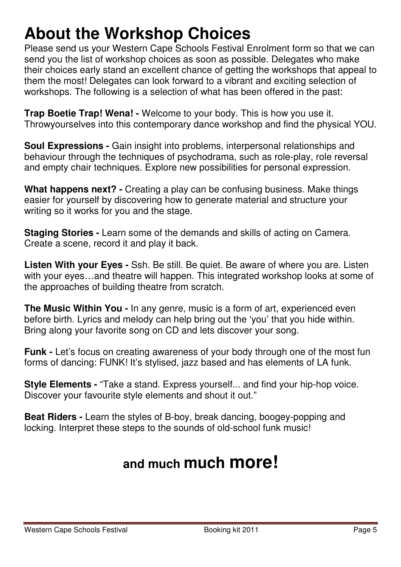# **About the Workshop Choices**

Please send us your Western Cape Schools Festival Enrolment form so that we can send you the list of workshop choices as soon as possible. Delegates who make their choices early stand an excellent chance of getting the workshops that appeal to them the most! Delegates can look forward to a vibrant and exciting selection of workshops. The following is a selection of what has been offered in the past:

**Trap Boetie Trap! Wena! -** Welcome to your body. This is how you use it. Throwyourselves into this contemporary dance workshop and find the physical YOU.

**Soul Expressions -** Gain insight into problems, interpersonal relationships and behaviour through the techniques of psychodrama, such as role-play, role reversal and empty chair techniques. Explore new possibilities for personal expression.

**What happens next? -** Creating a play can be confusing business. Make things easier for yourself by discovering how to generate material and structure your writing so it works for you and the stage.

**Staging Stories -** Learn some of the demands and skills of acting on Camera. Create a scene, record it and play it back.

**Listen With your Eyes -** Ssh. Be still. Be quiet. Be aware of where you are. Listen with your eyes…and theatre will happen. This integrated workshop looks at some of the approaches of building theatre from scratch.

**The Music Within You -** In any genre, music is a form of art, experienced even before birth. Lyrics and melody can help bring out the 'you' that you hide within. Bring along your favorite song on CD and lets discover your song.

**Funk -** Let's focus on creating awareness of your body through one of the most fun forms of dancing: FUNK! It's stylised, jazz based and has elements of LA funk.

**Style Elements -** "Take a stand. Express yourself... and find your hip-hop voice. Discover your favourite style elements and shout it out."

**Beat Riders -** Learn the styles of B-boy, break dancing, boogey-popping and locking. Interpret these steps to the sounds of old-school funk music!

# **and much much more!**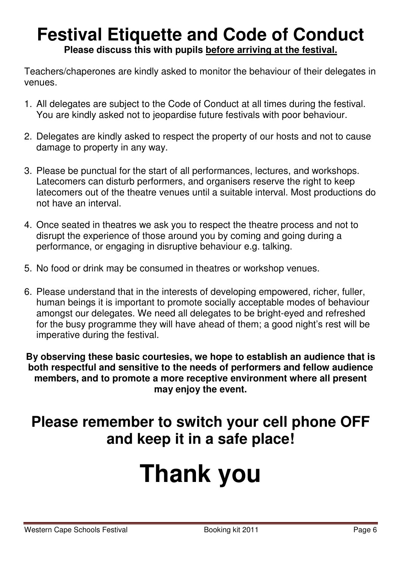# **Festival Etiquette and Code of Conduct Please discuss this with pupils before arriving at the festival.**

Teachers/chaperones are kindly asked to monitor the behaviour of their delegates in venues.

- 1. All delegates are subject to the Code of Conduct at all times during the festival. You are kindly asked not to jeopardise future festivals with poor behaviour.
- 2. Delegates are kindly asked to respect the property of our hosts and not to cause damage to property in any way.
- 3. Please be punctual for the start of all performances, lectures, and workshops. Latecomers can disturb performers, and organisers reserve the right to keep latecomers out of the theatre venues until a suitable interval. Most productions do not have an interval.
- 4. Once seated in theatres we ask you to respect the theatre process and not to disrupt the experience of those around you by coming and going during a performance, or engaging in disruptive behaviour e.g. talking.
- 5. No food or drink may be consumed in theatres or workshop venues.
- 6. Please understand that in the interests of developing empowered, richer, fuller, human beings it is important to promote socially acceptable modes of behaviour amongst our delegates. We need all delegates to be bright-eyed and refreshed for the busy programme they will have ahead of them; a good night's rest will be imperative during the festival.

**By observing these basic courtesies, we hope to establish an audience that is both respectful and sensitive to the needs of performers and fellow audience members, and to promote a more receptive environment where all present may enjoy the event.** 

# **Please remember to switch your cell phone OFF and keep it in a safe place!**

# **Thank you**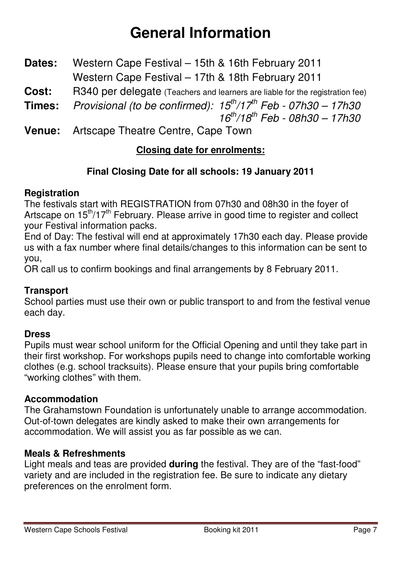# **General Information**

- **Dates:** Western Cape Festival 15th & 16th February 2011 Western Cape Festival – 17th & 18th February 2011
- **Cost:** R340 per delegate (Teachers and learners are liable for the registration fee)
- **Times:** Provisional (to be confirmed):  $15<sup>th</sup>/17<sup>th</sup>$  Feb 07h30 17h30  $16^{th}/18^{th}$  Feb - 08h30 - 17h30
- **Venue:** Artscape Theatre Centre, Cape Town

# **Closing date for enrolments:**

## **Final Closing Date for all schools: 19 January 2011**

#### **Registration**

The festivals start with REGISTRATION from 07h30 and 08h30 in the foyer of Artscape on 15<sup>th</sup>/17<sup>th</sup> February. Please arrive in good time to register and collect your Festival information packs.

End of Day: The festival will end at approximately 17h30 each day. Please provide us with a fax number where final details/changes to this information can be sent to you,

OR call us to confirm bookings and final arrangements by 8 February 2011.

## **Transport**

School parties must use their own or public transport to and from the festival venue each day.

## **Dress**

Pupils must wear school uniform for the Official Opening and until they take part in their first workshop. For workshops pupils need to change into comfortable working clothes (e.g. school tracksuits). Please ensure that your pupils bring comfortable "working clothes" with them.

## **Accommodation**

The Grahamstown Foundation is unfortunately unable to arrange accommodation. Out-of-town delegates are kindly asked to make their own arrangements for accommodation. We will assist you as far possible as we can.

#### **Meals & Refreshments**

Light meals and teas are provided **during** the festival. They are of the "fast-food" variety and are included in the registration fee. Be sure to indicate any dietary preferences on the enrolment form.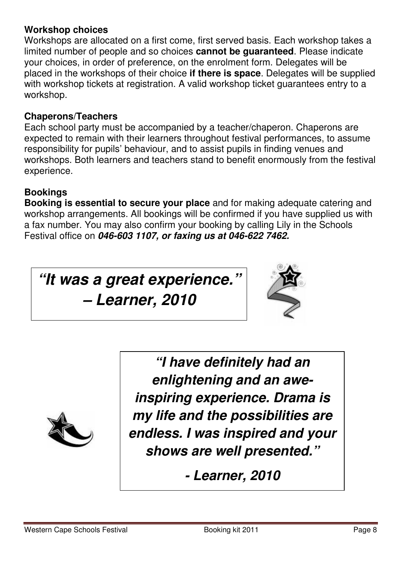#### **Workshop choices**

Workshops are allocated on a first come, first served basis. Each workshop takes a limited number of people and so choices **cannot be guaranteed**. Please indicate your choices, in order of preference, on the enrolment form. Delegates will be placed in the workshops of their choice **if there is space**. Delegates will be supplied with workshop tickets at registration. A valid workshop ticket guarantees entry to a workshop.

#### **Chaperons/Teachers**

Each school party must be accompanied by a teacher/chaperon. Chaperons are expected to remain with their learners throughout festival performances, to assume responsibility for pupils' behaviour, and to assist pupils in finding venues and workshops. Both learners and teachers stand to benefit enormously from the festival experience.

# **Bookings**

**Booking is essential to secure your place** and for making adequate catering and workshop arrangements. All bookings will be confirmed if you have supplied us with a fax number. You may also confirm your booking by calling Lily in the Schools Festival office on *046-603 1107, or faxing us at 046-622 7462.* 

*"It was a great experience."* 

*– Learner, 2010* 





*"I have definitely had an enlightening and an aweinspiring experience. Drama is my life and the possibilities are endless. I was inspired and your shows are well presented."* 

*- Learner, 2010*